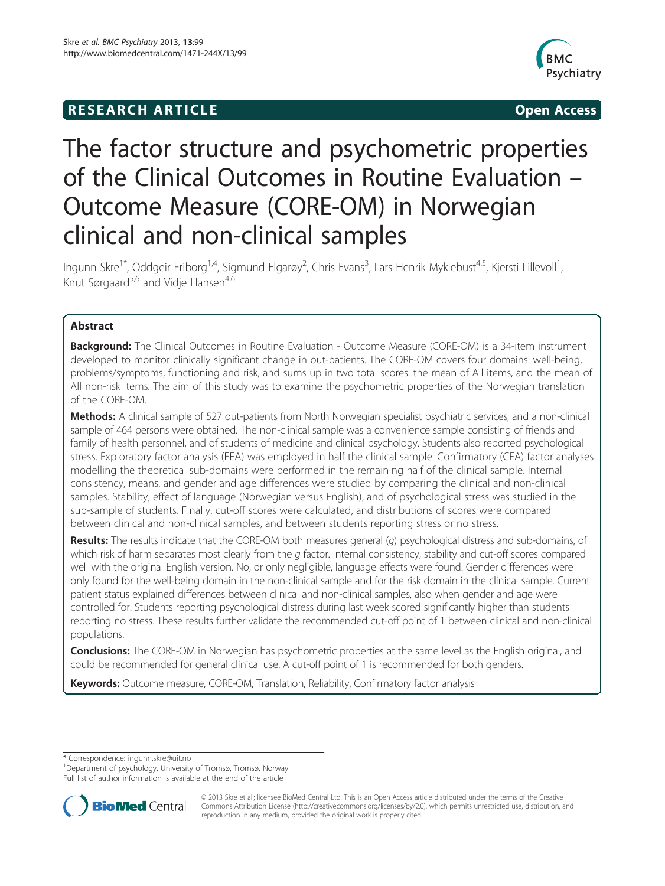# **RESEARCH ARTICLE CONSUMING A RESEARCH ARTICLE**



# The factor structure and psychometric properties of the Clinical Outcomes in Routine Evaluation – Outcome Measure (CORE-OM) in Norwegian clinical and non-clinical samples

Ingunn Skre<sup>1\*</sup>, Oddgeir Friborg<sup>1,4</sup>, Sigmund Elgarøy<sup>2</sup>, Chris Evans<sup>3</sup>, Lars Henrik Myklebust<sup>4,5</sup>, Kjersti Lillevoll<sup>1</sup> , Knut Sørgaard<sup>5,6</sup> and Vidje Hansen<sup>4,6</sup>

# Abstract

Background: The Clinical Outcomes in Routine Evaluation - Outcome Measure (CORE-OM) is a 34-item instrument developed to monitor clinically significant change in out-patients. The CORE-OM covers four domains: well-being, problems/symptoms, functioning and risk, and sums up in two total scores: the mean of All items, and the mean of All non-risk items. The aim of this study was to examine the psychometric properties of the Norwegian translation of the CORE-OM.

Methods: A clinical sample of 527 out-patients from North Norwegian specialist psychiatric services, and a non-clinical sample of 464 persons were obtained. The non-clinical sample was a convenience sample consisting of friends and family of health personnel, and of students of medicine and clinical psychology. Students also reported psychological stress. Exploratory factor analysis (EFA) was employed in half the clinical sample. Confirmatory (CFA) factor analyses modelling the theoretical sub-domains were performed in the remaining half of the clinical sample. Internal consistency, means, and gender and age differences were studied by comparing the clinical and non-clinical samples. Stability, effect of language (Norwegian versus English), and of psychological stress was studied in the sub-sample of students. Finally, cut-off scores were calculated, and distributions of scores were compared between clinical and non-clinical samples, and between students reporting stress or no stress.

Results: The results indicate that the CORE-OM both measures general (q) psychological distress and sub-domains, of which risk of harm separates most clearly from the  $q$  factor. Internal consistency, stability and cut-off scores compared well with the original English version. No, or only negligible, language effects were found. Gender differences were only found for the well-being domain in the non-clinical sample and for the risk domain in the clinical sample. Current patient status explained differences between clinical and non-clinical samples, also when gender and age were controlled for. Students reporting psychological distress during last week scored significantly higher than students reporting no stress. These results further validate the recommended cut-off point of 1 between clinical and non-clinical populations.

**Conclusions:** The CORE-OM in Norwegian has psychometric properties at the same level as the English original, and could be recommended for general clinical use. A cut-off point of 1 is recommended for both genders.

Keywords: Outcome measure, CORE-OM, Translation, Reliability, Confirmatory factor analysis

\* Correspondence: [ingunn.skre@uit.no](mailto:ingunn.skre@uit.no) <sup>1</sup>

Department of psychology, University of Tromsø, Tromsø, Norway Full list of author information is available at the end of the article

**BioMed Central** 

© 2013 Skre et al.; licensee BioMed Central Ltd. This is an Open Access article distributed under the terms of the Creative Commons Attribution License [\(http://creativecommons.org/licenses/by/2.0\)](http://creativecommons.org/licenses/by/2.0), which permits unrestricted use, distribution, and reproduction in any medium, provided the original work is properly cited.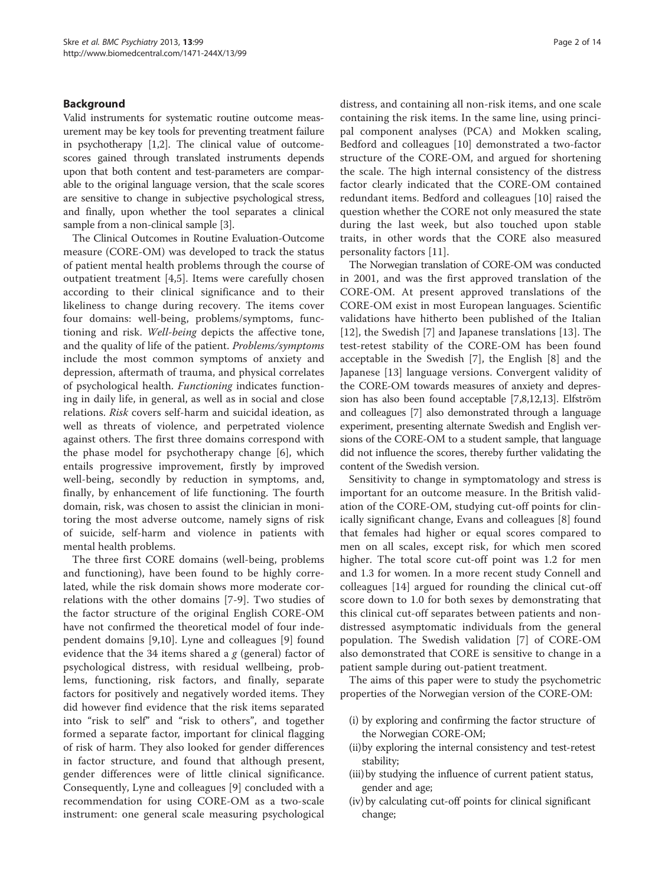# Background

Valid instruments for systematic routine outcome measurement may be key tools for preventing treatment failure in psychotherapy [[1,2\]](#page-12-0). The clinical value of outcomescores gained through translated instruments depends upon that both content and test-parameters are comparable to the original language version, that the scale scores are sensitive to change in subjective psychological stress, and finally, upon whether the tool separates a clinical sample from a non-clinical sample [\[3\]](#page-12-0).

The Clinical Outcomes in Routine Evaluation-Outcome measure (CORE-OM) was developed to track the status of patient mental health problems through the course of outpatient treatment [[4,5](#page-12-0)]. Items were carefully chosen according to their clinical significance and to their likeliness to change during recovery. The items cover four domains: well-being, problems/symptoms, functioning and risk. Well-being depicts the affective tone, and the quality of life of the patient. Problems/symptoms include the most common symptoms of anxiety and depression, aftermath of trauma, and physical correlates of psychological health. Functioning indicates functioning in daily life, in general, as well as in social and close relations. Risk covers self-harm and suicidal ideation, as well as threats of violence, and perpetrated violence against others. The first three domains correspond with the phase model for psychotherapy change [[6\]](#page-12-0), which entails progressive improvement, firstly by improved well-being, secondly by reduction in symptoms, and, finally, by enhancement of life functioning. The fourth domain, risk, was chosen to assist the clinician in monitoring the most adverse outcome, namely signs of risk of suicide, self-harm and violence in patients with mental health problems.

The three first CORE domains (well-being, problems and functioning), have been found to be highly correlated, while the risk domain shows more moderate correlations with the other domains [[7](#page-12-0)-[9\]](#page-12-0). Two studies of the factor structure of the original English CORE-OM have not confirmed the theoretical model of four independent domains [\[9](#page-12-0)[,10](#page-13-0)]. Lyne and colleagues [\[9](#page-12-0)] found evidence that the 34 items shared a  $g$  (general) factor of psychological distress, with residual wellbeing, problems, functioning, risk factors, and finally, separate factors for positively and negatively worded items. They did however find evidence that the risk items separated into "risk to self" and "risk to others", and together formed a separate factor, important for clinical flagging of risk of harm. They also looked for gender differences in factor structure, and found that although present, gender differences were of little clinical significance. Consequently, Lyne and colleagues [\[9](#page-12-0)] concluded with a recommendation for using CORE-OM as a two-scale instrument: one general scale measuring psychological distress, and containing all non-risk items, and one scale containing the risk items. In the same line, using principal component analyses (PCA) and Mokken scaling, Bedford and colleagues [[10\]](#page-13-0) demonstrated a two-factor structure of the CORE-OM, and argued for shortening the scale. The high internal consistency of the distress factor clearly indicated that the CORE-OM contained redundant items. Bedford and colleagues [[10\]](#page-13-0) raised the question whether the CORE not only measured the state during the last week, but also touched upon stable traits, in other words that the CORE also measured personality factors [[11\]](#page-13-0).

The Norwegian translation of CORE-OM was conducted in 2001, and was the first approved translation of the CORE-OM. At present approved translations of the CORE-OM exist in most European languages. Scientific validations have hitherto been published of the Italian [[12](#page-13-0)], the Swedish [[7\]](#page-12-0) and Japanese translations [[13](#page-13-0)]. The test-retest stability of the CORE-OM has been found acceptable in the Swedish [\[7](#page-12-0)], the English [[8\]](#page-12-0) and the Japanese [\[13](#page-13-0)] language versions. Convergent validity of the CORE-OM towards measures of anxiety and depression has also been found acceptable [\[7,8](#page-12-0)[,12,13](#page-13-0)]. Elfström and colleagues [\[7](#page-12-0)] also demonstrated through a language experiment, presenting alternate Swedish and English versions of the CORE-OM to a student sample, that language did not influence the scores, thereby further validating the content of the Swedish version.

Sensitivity to change in symptomatology and stress is important for an outcome measure. In the British validation of the CORE-OM, studying cut-off points for clinically significant change, Evans and colleagues [[8](#page-12-0)] found that females had higher or equal scores compared to men on all scales, except risk, for which men scored higher. The total score cut-off point was 1.2 for men and 1.3 for women. In a more recent study Connell and colleagues [\[14](#page-13-0)] argued for rounding the clinical cut-off score down to 1.0 for both sexes by demonstrating that this clinical cut-off separates between patients and nondistressed asymptomatic individuals from the general population. The Swedish validation [[7\]](#page-12-0) of CORE-OM also demonstrated that CORE is sensitive to change in a patient sample during out-patient treatment.

The aims of this paper were to study the psychometric properties of the Norwegian version of the CORE-OM:

- (i) by exploring and confirming the factor structure of the Norwegian CORE-OM;
- (ii)by exploring the internal consistency and test-retest stability;
- (iii)by studying the influence of current patient status, gender and age;
- (iv) by calculating cut-off points for clinical significant change;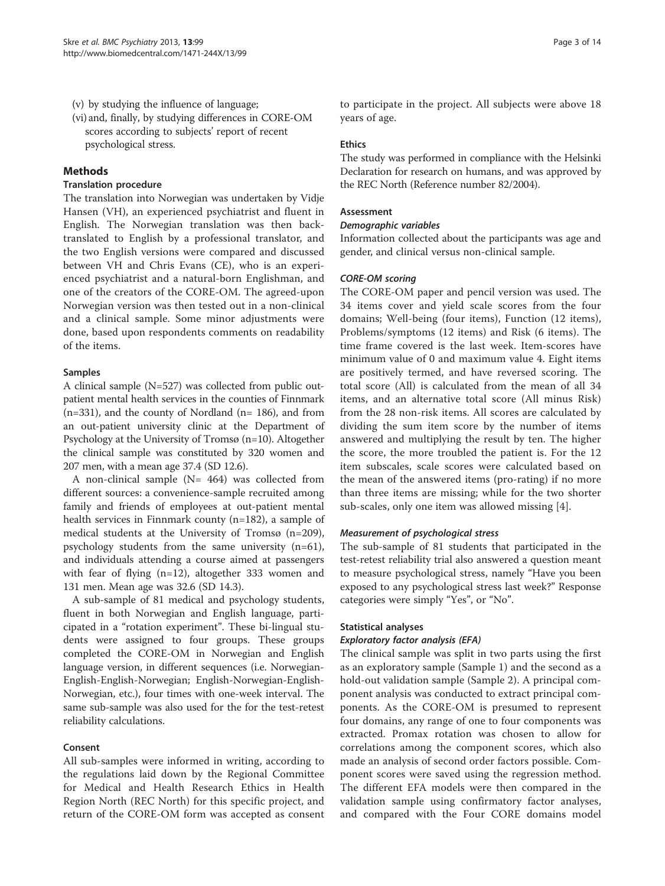- (v) by studying the influence of language;
- (vi) and, finally, by studying differences in CORE-OM scores according to subjects' report of recent psychological stress.

# Methods

#### Translation procedure

The translation into Norwegian was undertaken by Vidje Hansen (VH), an experienced psychiatrist and fluent in English. The Norwegian translation was then backtranslated to English by a professional translator, and the two English versions were compared and discussed between VH and Chris Evans (CE), who is an experienced psychiatrist and a natural-born Englishman, and one of the creators of the CORE-OM. The agreed-upon Norwegian version was then tested out in a non-clinical and a clinical sample. Some minor adjustments were done, based upon respondents comments on readability of the items.

# Samples

A clinical sample (N=527) was collected from public outpatient mental health services in the counties of Finnmark  $(n=331)$ , and the county of Nordland  $(n=186)$ , and from an out-patient university clinic at the Department of Psychology at the University of Tromsø (n=10). Altogether the clinical sample was constituted by 320 women and 207 men, with a mean age 37.4 (SD 12.6).

A non-clinical sample (N= 464) was collected from different sources: a convenience-sample recruited among family and friends of employees at out-patient mental health services in Finnmark county (n=182), a sample of medical students at the University of Tromsø (n=209), psychology students from the same university (n=61), and individuals attending a course aimed at passengers with fear of flying (n=12), altogether 333 women and 131 men. Mean age was 32.6 (SD 14.3).

A sub-sample of 81 medical and psychology students, fluent in both Norwegian and English language, participated in a "rotation experiment". These bi-lingual students were assigned to four groups. These groups completed the CORE-OM in Norwegian and English language version, in different sequences (i.e. Norwegian-English-English-Norwegian; English-Norwegian-English-Norwegian, etc.), four times with one-week interval. The same sub-sample was also used for the for the test-retest reliability calculations.

# Consent

All sub-samples were informed in writing, according to the regulations laid down by the Regional Committee for Medical and Health Research Ethics in Health Region North (REC North) for this specific project, and return of the CORE-OM form was accepted as consent to participate in the project. All subjects were above 18 years of age.

# **Ethics**

The study was performed in compliance with the Helsinki Declaration for research on humans, and was approved by the REC North (Reference number 82/2004).

# Assessment

# Demographic variables

Information collected about the participants was age and gender, and clinical versus non-clinical sample.

# CORE-OM scoring

The CORE-OM paper and pencil version was used. The 34 items cover and yield scale scores from the four domains; Well-being (four items), Function (12 items), Problems/symptoms (12 items) and Risk (6 items). The time frame covered is the last week. Item-scores have minimum value of 0 and maximum value 4. Eight items are positively termed, and have reversed scoring. The total score (All) is calculated from the mean of all 34 items, and an alternative total score (All minus Risk) from the 28 non-risk items. All scores are calculated by dividing the sum item score by the number of items answered and multiplying the result by ten. The higher the score, the more troubled the patient is. For the 12 item subscales, scale scores were calculated based on the mean of the answered items (pro-rating) if no more than three items are missing; while for the two shorter sub-scales, only one item was allowed missing [\[4](#page-12-0)].

# Measurement of psychological stress

The sub-sample of 81 students that participated in the test-retest reliability trial also answered a question meant to measure psychological stress, namely "Have you been exposed to any psychological stress last week?" Response categories were simply "Yes", or "No".

# Statistical analyses

#### Exploratory factor analysis (EFA)

The clinical sample was split in two parts using the first as an exploratory sample (Sample 1) and the second as a hold-out validation sample (Sample 2). A principal component analysis was conducted to extract principal components. As the CORE-OM is presumed to represent four domains, any range of one to four components was extracted. Promax rotation was chosen to allow for correlations among the component scores, which also made an analysis of second order factors possible. Component scores were saved using the regression method. The different EFA models were then compared in the validation sample using confirmatory factor analyses, and compared with the Four CORE domains model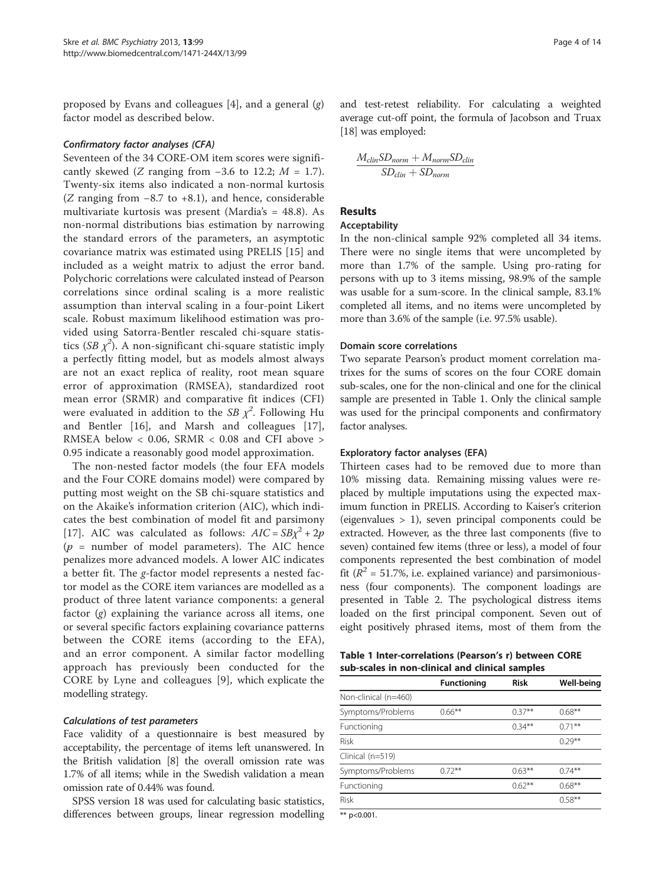proposed by Evans and colleagues [\[4](#page-12-0)], and a general  $(g)$ factor model as described below.

#### Confirmatory factor analyses (CFA)

Seventeen of the 34 CORE-OM item scores were significantly skewed (Z ranging from  $-3.6$  to 12.2;  $M = 1.7$ ). Twenty-six items also indicated a non-normal kurtosis (Z ranging from −8.7 to +8.1), and hence, considerable multivariate kurtosis was present (Mardia's = 48.8). As non-normal distributions bias estimation by narrowing the standard errors of the parameters, an asymptotic covariance matrix was estimated using PRELIS [[15\]](#page-13-0) and included as a weight matrix to adjust the error band. Polychoric correlations were calculated instead of Pearson correlations since ordinal scaling is a more realistic assumption than interval scaling in a four-point Likert scale. Robust maximum likelihood estimation was provided using Satorra-Bentler rescaled chi-square statistics (SB  $\chi^2$ ). A non-significant chi-square statistic imply a perfectly fitting model, but as models almost always are not an exact replica of reality, root mean square error of approximation (RMSEA), standardized root mean error (SRMR) and comparative fit indices (CFI) were evaluated in addition to the SB  $\chi^2$ . Following Hu and Bentler [[16\]](#page-13-0), and Marsh and colleagues [\[17](#page-13-0)], RMSEA below < 0.06, SRMR < 0.08 and CFI above > 0.95 indicate a reasonably good model approximation.

The non-nested factor models (the four EFA models and the Four CORE domains model) were compared by putting most weight on the SB chi-square statistics and on the Akaike's information criterion (AIC), which indicates the best combination of model fit and parsimony [[17\]](#page-13-0). AIC was calculated as follows:  $AIC = SBx^2 + 2p$  $(p =$  number of model parameters). The AIC hence penalizes more advanced models. A lower AIC indicates a better fit. The g-factor model represents a nested factor model as the CORE item variances are modelled as a product of three latent variance components: a general factor  $(g)$  explaining the variance across all items, one or several specific factors explaining covariance patterns between the CORE items (according to the EFA), and an error component. A similar factor modelling approach has previously been conducted for the CORE by Lyne and colleagues [[9\]](#page-12-0), which explicate the modelling strategy.

# Calculations of test parameters

Face validity of a questionnaire is best measured by acceptability, the percentage of items left unanswered. In the British validation [\[8](#page-12-0)] the overall omission rate was 1.7% of all items; while in the Swedish validation a mean omission rate of 0.44% was found.

SPSS version 18 was used for calculating basic statistics, differences between groups, linear regression modelling and test-retest reliability. For calculating a weighted average cut-off point, the formula of Jacobson and Truax [[18](#page-13-0)] was employed:

$$
\frac{M_{clin}SD_{norm} + M_{norm}SD_{clin}}{SD_{clin} + SD_{norm}}
$$

# Results

#### Acceptability

In the non-clinical sample 92% completed all 34 items. There were no single items that were uncompleted by more than 1.7% of the sample. Using pro-rating for persons with up to 3 items missing, 98.9% of the sample was usable for a sum-score. In the clinical sample, 83.1% completed all items, and no items were uncompleted by more than 3.6% of the sample (i.e. 97.5% usable).

#### Domain score correlations

Two separate Pearson's product moment correlation matrixes for the sums of scores on the four CORE domain sub-scales, one for the non-clinical and one for the clinical sample are presented in Table 1. Only the clinical sample was used for the principal components and confirmatory factor analyses.

#### Exploratory factor analyses (EFA)

Thirteen cases had to be removed due to more than 10% missing data. Remaining missing values were replaced by multiple imputations using the expected maximum function in PRELIS. According to Kaiser's criterion (eigenvalues > 1), seven principal components could be extracted. However, as the three last components (five to seven) contained few items (three or less), a model of four components represented the best combination of model fit ( $R^2$  = 51.7%, i.e. explained variance) and parsimoniousness (four components). The component loadings are presented in Table [2](#page-4-0). The psychological distress items loaded on the first principal component. Seven out of eight positively phrased items, most of them from the

Table 1 Inter-correlations (Pearson's r) between CORE sub-scales in non-clinical and clinical samples

|                      | <b>Functioning</b> | <b>Risk</b> | Well-being |
|----------------------|--------------------|-------------|------------|
| Non-clinical (n=460) |                    |             |            |
| Symptoms/Problems    | $0.66***$          | $0.37***$   | $0.68***$  |
| Functioning          |                    | $0.34***$   | $0.71***$  |
| <b>Risk</b>          |                    |             | $0.29***$  |
| Clinical $(n=519)$   |                    |             |            |
| Symptoms/Problems    | $0.72***$          | $0.63***$   | $0.74***$  |
| Functioning          |                    | $0.62***$   | $0.68***$  |
| <b>Risk</b>          |                    |             | $0.58***$  |
|                      |                    |             |            |

\*\* p<0.001.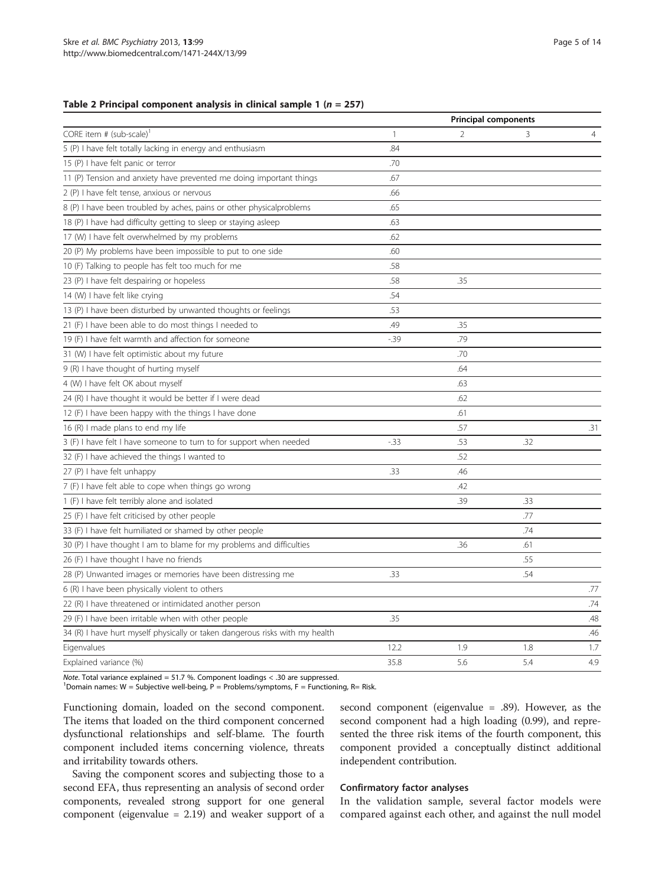#### <span id="page-4-0"></span>Table 2 Principal component analysis in clinical sample 1 ( $n = 257$ )

|                                                                              |       | <b>Principal components</b> |     |                |
|------------------------------------------------------------------------------|-------|-----------------------------|-----|----------------|
| CORE item $#$ (sub-scale) <sup>1</sup>                                       | 1     | 2                           |     | $\overline{4}$ |
| 5 (P) I have felt totally lacking in energy and enthusiasm                   | .84   |                             |     |                |
| 15 (P) I have felt panic or terror                                           | .70   |                             |     |                |
| 11 (P) Tension and anxiety have prevented me doing important things          | .67   |                             |     |                |
| 2 (P) I have felt tense, anxious or nervous                                  | .66   |                             |     |                |
| 8 (P) I have been troubled by aches, pains or other physical problems        | .65   |                             |     |                |
| 18 (P) I have had difficulty getting to sleep or staying asleep              | .63   |                             |     |                |
| 17 (W) I have felt overwhelmed by my problems                                | .62   |                             |     |                |
| 20 (P) My problems have been impossible to put to one side                   | .60   |                             |     |                |
| 10 (F) Talking to people has felt too much for me                            | .58   |                             |     |                |
| 23 (P) I have felt despairing or hopeless                                    | .58   | .35                         |     |                |
| 14 (W) I have felt like crying                                               | .54   |                             |     |                |
| 13 (P) I have been disturbed by unwanted thoughts or feelings                | .53   |                             |     |                |
| 21 (F) I have been able to do most things I needed to                        | .49   | .35                         |     |                |
| 19 (F) I have felt warmth and affection for someone                          | $-39$ | .79                         |     |                |
| 31 (W) I have felt optimistic about my future                                |       | .70                         |     |                |
| 9 (R) I have thought of hurting myself                                       |       | .64                         |     |                |
| 4 (W) I have felt OK about myself                                            |       | .63                         |     |                |
| 24 (R) I have thought it would be better if I were dead                      |       | .62                         |     |                |
| 12 (F) I have been happy with the things I have done                         |       | .61                         |     |                |
| 16 (R) I made plans to end my life                                           |       | .57                         |     | .31            |
| 3 (F) I have felt I have someone to turn to for support when needed          | $-33$ | .53                         | .32 |                |
| 32 (F) I have achieved the things I wanted to                                |       | .52                         |     |                |
| 27 (P) I have felt unhappy                                                   | .33   | .46                         |     |                |
| 7 (F) I have felt able to cope when things go wrong                          |       | .42                         |     |                |
| 1 (F) I have felt terribly alone and isolated                                |       | .39                         | .33 |                |
| 25 (F) I have felt criticised by other people                                |       |                             | .77 |                |
| 33 (F) I have felt humiliated or shamed by other people                      |       |                             | .74 |                |
| 30 (P) I have thought I am to blame for my problems and difficulties         |       | .36                         | .61 |                |
| 26 (F) I have thought I have no friends                                      |       |                             | .55 |                |
| 28 (P) Unwanted images or memories have been distressing me                  | .33   |                             | .54 |                |
| 6 (R) I have been physically violent to others                               |       |                             |     | .77            |
| 22 (R) I have threatened or intimidated another person                       |       |                             |     | .74            |
| 29 (F) I have been irritable when with other people                          | .35   |                             |     | .48            |
| 34 (R) I have hurt myself physically or taken dangerous risks with my health |       |                             |     | .46            |
| Eigenvalues                                                                  | 12.2  | 1.9                         | 1.8 | 1.7            |
| Explained variance (%)                                                       | 35.8  | 5.6                         | 5.4 | 4.9            |

Note. Total variance explained = 51.7 %. Component loadings < .30 are suppressed.

<sup>1</sup>Domain names: W = Subjective well-being, P = Problems/symptoms, F = Functioning, R= Risk.

Functioning domain, loaded on the second component. The items that loaded on the third component concerned dysfunctional relationships and self-blame. The fourth component included items concerning violence, threats and irritability towards others.

second component (eigenvalue = .89). However, as the second component had a high loading (0.99), and represented the three risk items of the fourth component, this component provided a conceptually distinct additional independent contribution.

Saving the component scores and subjecting those to a second EFA, thus representing an analysis of second order components, revealed strong support for one general component (eigenvalue = 2.19) and weaker support of a

#### Confirmatory factor analyses

In the validation sample, several factor models were compared against each other, and against the null model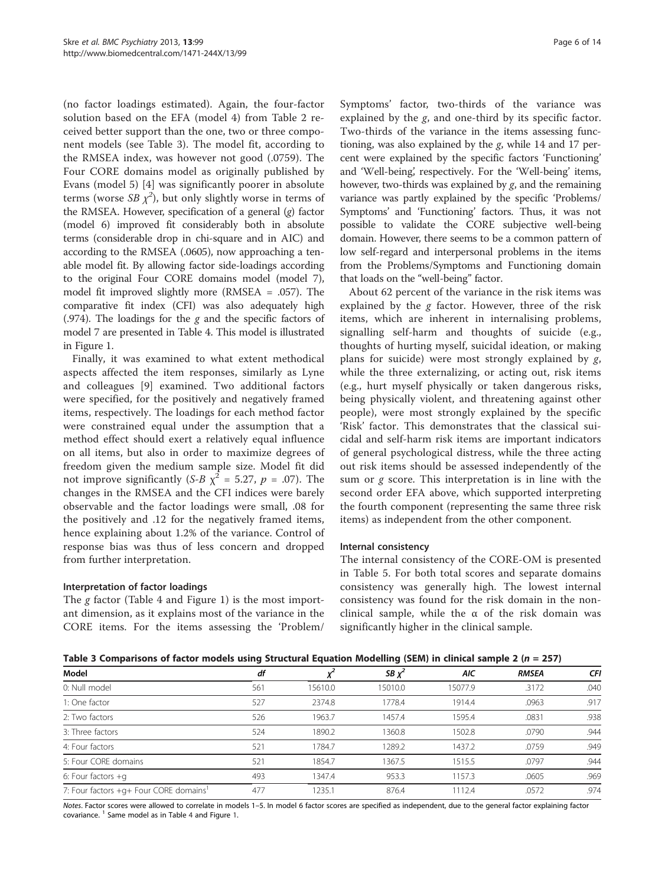<span id="page-5-0"></span>(no factor loadings estimated). Again, the four-factor solution based on the EFA (model 4) from Table [2](#page-4-0) received better support than the one, two or three component models (see Table 3). The model fit, according to the RMSEA index, was however not good (.0759). The Four CORE domains model as originally published by Evans (model 5) [[4\]](#page-12-0) was significantly poorer in absolute terms (worse  $SB$   $\chi^2$ ), but only slightly worse in terms of the RMSEA. However, specification of a general (g) factor (model 6) improved fit considerably both in absolute terms (considerable drop in chi-square and in AIC) and according to the RMSEA (.0605), now approaching a tenable model fit. By allowing factor side-loadings according to the original Four CORE domains model (model 7), model fit improved slightly more (RMSEA = .057). The comparative fit index (CFI) was also adequately high (.974). The loadings for the  $g$  and the specific factors of model 7 are presented in Table [4.](#page-6-0) This model is illustrated in Figure [1.](#page-7-0)

Finally, it was examined to what extent methodical aspects affected the item responses, similarly as Lyne and colleagues [\[9](#page-12-0)] examined. Two additional factors were specified, for the positively and negatively framed items, respectively. The loadings for each method factor were constrained equal under the assumption that a method effect should exert a relatively equal influence on all items, but also in order to maximize degrees of freedom given the medium sample size. Model fit did not improve significantly (*S-B*  $\chi^2$  = 5.27, *p* = .07). The changes in the RMSEA and the CFI indices were barely observable and the factor loadings were small, .08 for the positively and .12 for the negatively framed items, hence explaining about 1.2% of the variance. Control of response bias was thus of less concern and dropped from further interpretation.

#### Interpretation of factor loadings

The g factor (Table [4](#page-6-0) and Figure [1](#page-7-0)) is the most important dimension, as it explains most of the variance in the CORE items. For the items assessing the 'Problem/

Symptoms' factor, two-thirds of the variance was explained by the g, and one-third by its specific factor. Two-thirds of the variance in the items assessing functioning, was also explained by the g, while 14 and 17 percent were explained by the specific factors 'Functioning' and 'Well-being', respectively. For the 'Well-being' items, however, two-thirds was explained by g, and the remaining variance was partly explained by the specific 'Problems/ Symptoms' and 'Functioning' factors. Thus, it was not possible to validate the CORE subjective well-being domain. However, there seems to be a common pattern of low self-regard and interpersonal problems in the items from the Problems/Symptoms and Functioning domain that loads on the "well-being" factor.

About 62 percent of the variance in the risk items was explained by the  $g$  factor. However, three of the risk items, which are inherent in internalising problems, signalling self-harm and thoughts of suicide (e.g., thoughts of hurting myself, suicidal ideation, or making plans for suicide) were most strongly explained by  $g$ , while the three externalizing, or acting out, risk items (e.g., hurt myself physically or taken dangerous risks, being physically violent, and threatening against other people), were most strongly explained by the specific 'Risk' factor. This demonstrates that the classical suicidal and self-harm risk items are important indicators of general psychological distress, while the three acting out risk items should be assessed independently of the sum or  $g$  score. This interpretation is in line with the second order EFA above, which supported interpreting the fourth component (representing the same three risk items) as independent from the other component.

#### Internal consistency

The internal consistency of the CORE-OM is presented in Table [5.](#page-8-0) For both total scores and separate domains consistency was generally high. The lowest internal consistency was found for the risk domain in the nonclinical sample, while the  $\alpha$  of the risk domain was significantly higher in the clinical sample.

Table 3 Comparisons of factor models using Structural Equation Modelling (SEM) in clinical sample 2 ( $n = 257$ )

| Model                                  | df  |         | $SB \chi^2$ | AIC     | <b>RMSEA</b> | CFI  |
|----------------------------------------|-----|---------|-------------|---------|--------------|------|
| 0: Null model                          | 561 | 15610.0 | 15010.0     | 15077.9 | .3172        | .040 |
| 1: One factor                          | 527 | 2374.8  | 1778.4      | 1914.4  | .0963        | .917 |
| 2: Two factors                         | 526 | 1963.7  | 1457.4      | 1595.4  | .0831        | .938 |
| 3: Three factors                       | 524 | 1890.2  | 1360.8      | 1502.8  | .0790        | .944 |
| 4: Four factors                        | 521 | 1784.7  | 1289.2      | 1437.2  | .0759        | .949 |
| 5: Four CORE domains                   | 521 | 1854.7  | 1367.5      | 1515.5  | .0797        | .944 |
| 6: Four factors $+q$                   | 493 | 1347.4  | 953.3       | 1157.3  | .0605        | .969 |
| 7: Four factors +q+ Four CORE domains' | 477 | 1235.1  | 876.4       | 1112.4  | .0572        | .974 |

Notes. Factor scores were allowed to correlate in models 1–5. In model 6 factor scores are specified as independent, due to the general factor explaining factor covariance. <sup>1</sup> Same model as in Table [4](#page-6-0) and Figure [1](#page-7-0).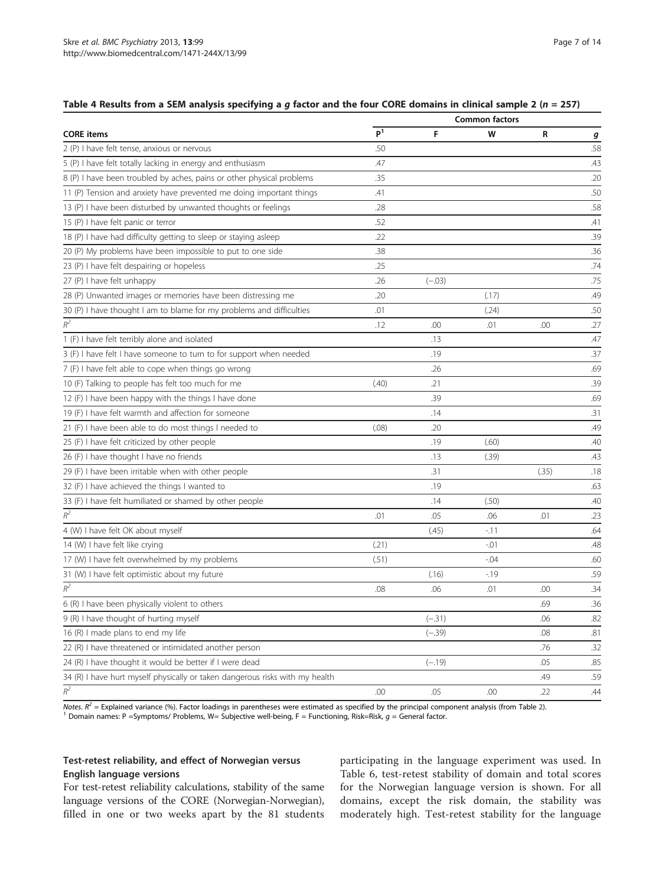|                                                                              | <b>Common factors</b> |          |         |       |     |  |  |
|------------------------------------------------------------------------------|-----------------------|----------|---------|-------|-----|--|--|
| <b>CORE</b> items                                                            | P <sup>1</sup>        | F        | W       | R     | g   |  |  |
| 2 (P) I have felt tense, anxious or nervous                                  | .50                   |          |         |       | .58 |  |  |
| 5 (P) I have felt totally lacking in energy and enthusiasm                   | .47                   |          |         |       | .43 |  |  |
| 8 (P) I have been troubled by aches, pains or other physical problems        | .35                   |          |         |       | .2C |  |  |
| 11 (P) Tension and anxiety have prevented me doing important things          | .41                   |          |         |       | .5C |  |  |
| 13 (P) I have been disturbed by unwanted thoughts or feelings                | .28                   |          |         |       | .58 |  |  |
| 15 (P) I have felt panic or terror                                           | .52                   |          |         |       | .41 |  |  |
| 18 (P) I have had difficulty getting to sleep or staying asleep              | .22                   |          |         |       | .39 |  |  |
| 20 (P) My problems have been impossible to put to one side                   | .38                   |          |         |       | .36 |  |  |
| 23 (P) I have felt despairing or hopeless                                    | .25                   |          |         |       | .74 |  |  |
| 27 (P) I have felt unhappy                                                   | .26                   | $(-.03)$ |         |       | .75 |  |  |
| 28 (P) Unwanted images or memories have been distressing me                  | .20                   |          | (.17)   |       | .49 |  |  |
| 30 (P) I have thought I am to blame for my problems and difficulties         | .01                   |          | (.24)   |       | .5C |  |  |
| $R^2$                                                                        | .12                   | .00      | .01     | .00   | .27 |  |  |
| 1 (F) I have felt terribly alone and isolated                                |                       | .13      |         |       | .47 |  |  |
| 3 (F) I have felt I have someone to turn to for support when needed          |                       | .19      |         |       | .37 |  |  |
| 7 (F) I have felt able to cope when things go wrong                          |                       | .26      |         |       | .69 |  |  |
| 10 (F) Talking to people has felt too much for me                            | (.40)                 | .21      |         |       | .39 |  |  |
| 12 (F) I have been happy with the things I have done                         |                       | .39      |         |       | .69 |  |  |
| 19 (F) I have felt warmth and affection for someone                          |                       | .14      |         |       | .31 |  |  |
| 21 (F) I have been able to do most things I needed to                        | (.08)                 | .20      |         |       | .49 |  |  |
| 25 (F) I have felt criticized by other people                                |                       | .19      | (.60)   |       | .4C |  |  |
| 26 (F) I have thought I have no friends                                      |                       | .13      | (.39)   |       | .43 |  |  |
| 29 (F) I have been irritable when with other people                          |                       | .31      |         | (.35) | .18 |  |  |
| 32 (F) I have achieved the things I wanted to                                |                       | .19      |         |       | .63 |  |  |
| 33 (F) I have felt humiliated or shamed by other people                      |                       | .14      | (.50)   |       | .4C |  |  |
| $R^2$                                                                        | .01                   | .05      | .06     | .01   | .23 |  |  |
| 4 (W) I have felt OK about myself                                            |                       | (45)     | $-11$   |       | .64 |  |  |
| 14 (W) I have felt like crying                                               | (21)                  |          | $-.01$  |       | .48 |  |  |
| 17 (W) I have felt overwhelmed by my problems                                | (.51)                 |          | $-0.04$ |       | .60 |  |  |
| 31 (W) I have felt optimistic about my future                                |                       | (.16)    | $-19$   |       | .59 |  |  |
| $R^2$                                                                        | .08                   | .06      | .01     | .00   | .34 |  |  |
| 6 (R) I have been physically violent to others                               |                       |          |         | .69   | .36 |  |  |
| 9 (R) I have thought of hurting myself                                       |                       | $(-.31)$ |         | .06   | .82 |  |  |
| 16 (R) I made plans to end my life                                           |                       | $(-.39)$ |         | .08   | .81 |  |  |
| 22 (R) I have threatened or intimidated another person                       |                       |          |         | .76   | .32 |  |  |
| 24 (R) I have thought it would be better if I were dead                      |                       | $(-.19)$ |         | .05   | .85 |  |  |
| 34 (R) I have hurt myself physically or taken dangerous risks with my health |                       |          |         | .49   | .59 |  |  |
| $R^2\!$                                                                      | .00                   | .05      | .00     | .22   | .44 |  |  |

# <span id="page-6-0"></span>Table 4 Results from a SEM analysis specifying a g factor and the four CORE domains in clinical sample 2 ( $n = 257$ )

Notes.  $R^2$  $R^2$  = Explained variance (%). Factor loadings in parentheses were estimated as specified by the principal component analysis (from Table 2).<br><sup>1</sup> Domain names: P = Symptoms/ Problems, W= Subjective well-being, F =

# Test-retest reliability, and effect of Norwegian versus English language versions

For test-retest reliability calculations, stability of the same language versions of the CORE (Norwegian-Norwegian), filled in one or two weeks apart by the 81 students

participating in the language experiment was used. In Table [6](#page-8-0), test-retest stability of domain and total scores for the Norwegian language version is shown. For all domains, except the risk domain, the stability was moderately high. Test-retest stability for the language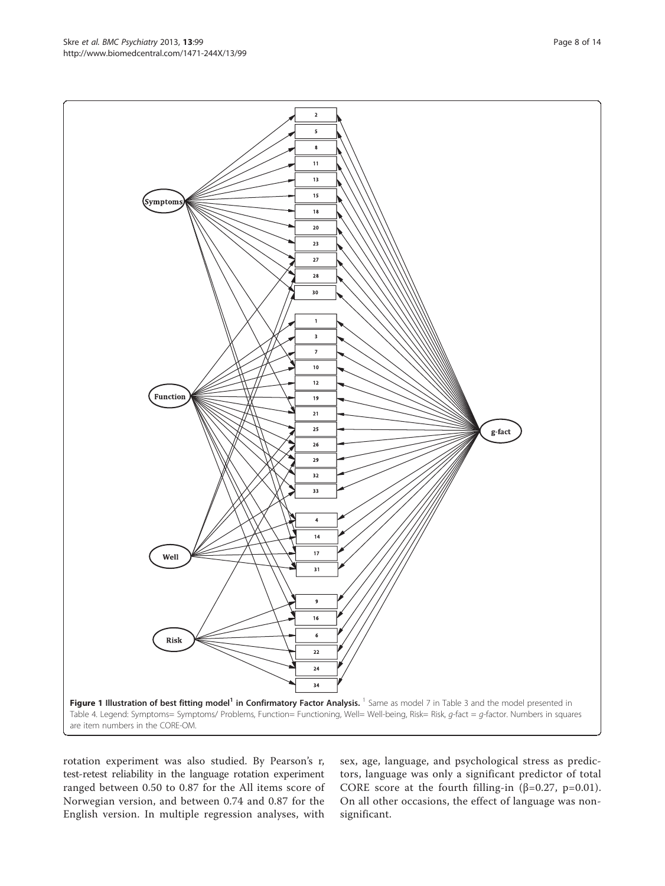<span id="page-7-0"></span>Skre *et al. BMC Psychiatry* 2013, **13**:99<br>http://www.biomedcentral.com/1471-244X/13/99



rotation experiment was also studied. By Pearson's r, test-retest reliability in the language rotation experiment ranged between 0.50 to 0.87 for the All items score of Norwegian version, and between 0.74 and 0.87 for the English version. In multiple regression analyses, with sex, age, language, and psychological stress as predictors, language was only a significant predictor of total CORE score at the fourth filling-in ( $\beta$ =0.27, p=0.01). On all other occasions, the effect of language was nonsignificant.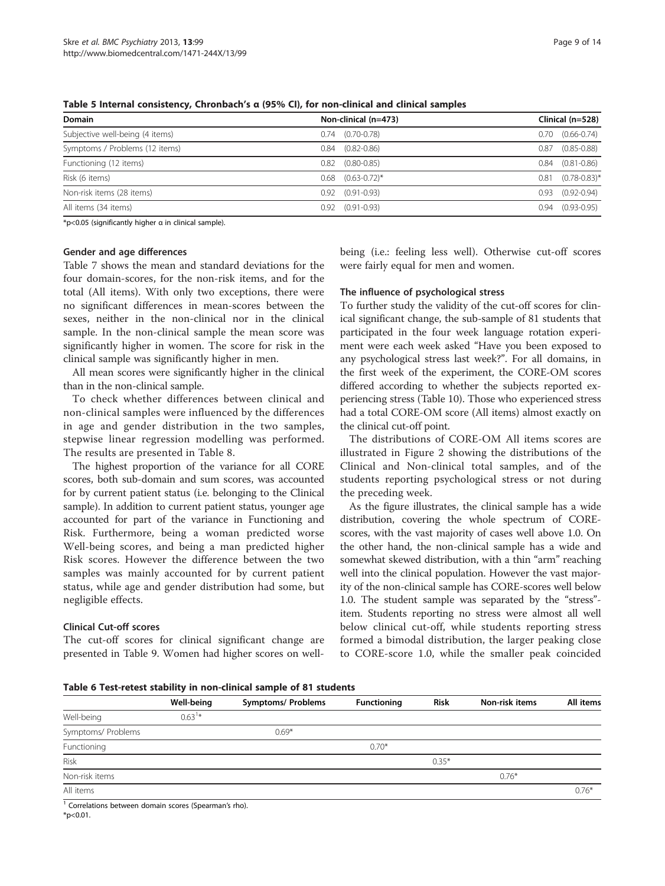| <b>Domain</b>                   | Non-clinical (n=473)    | Clinical (n=528)          |
|---------------------------------|-------------------------|---------------------------|
| Subjective well-being (4 items) | $0.74$ $(0.70 - 0.78)$  | $(0.66 - 0.74)$<br>0.70   |
| Symptoms / Problems (12 items)  | $(0.82 - 0.86)$<br>0.84 | $(0.85 - 0.88)$<br>0.87   |
| Functioning (12 items)          | $0.82$ $(0.80 - 0.85)$  | $(0.81 - 0.86)$<br>0.84   |
| Risk (6 items)                  | $0.68$ $(0.63-0.72)$ *  | $(0.78 - 0.83)^*$<br>0.81 |
| Non-risk items (28 items)       | $0.92$ $(0.91 - 0.93)$  | $(0.92 - 0.94)$<br>0.93   |
| All items (34 items)            | $0.92$ $(0.91 - 0.93)$  | $0.94$ $(0.93 - 0.95)$    |

<span id="page-8-0"></span>Table 5 Internal consistency, Chronbach's α (95% CI), for non-clinical and clinical samples

\*p<0.05 (significantly higher α in clinical sample).

#### Gender and age differences

Table [7](#page-9-0) shows the mean and standard deviations for the four domain-scores, for the non-risk items, and for the total (All items). With only two exceptions, there were no significant differences in mean-scores between the sexes, neither in the non-clinical nor in the clinical sample. In the non-clinical sample the mean score was significantly higher in women. The score for risk in the clinical sample was significantly higher in men.

All mean scores were significantly higher in the clinical than in the non-clinical sample.

To check whether differences between clinical and non-clinical samples were influenced by the differences in age and gender distribution in the two samples, stepwise linear regression modelling was performed. The results are presented in Table [8](#page-9-0).

The highest proportion of the variance for all CORE scores, both sub-domain and sum scores, was accounted for by current patient status (i.e. belonging to the Clinical sample). In addition to current patient status, younger age accounted for part of the variance in Functioning and Risk. Furthermore, being a woman predicted worse Well-being scores, and being a man predicted higher Risk scores. However the difference between the two samples was mainly accounted for by current patient status, while age and gender distribution had some, but negligible effects.

# Clinical Cut-off scores

The cut-off scores for clinical significant change are presented in Table [9](#page-10-0). Women had higher scores on wellbeing (i.e.: feeling less well). Otherwise cut-off scores were fairly equal for men and women.

#### The influence of psychological stress

To further study the validity of the cut-off scores for clinical significant change, the sub-sample of 81 students that participated in the four week language rotation experiment were each week asked "Have you been exposed to any psychological stress last week?". For all domains, in the first week of the experiment, the CORE-OM scores differed according to whether the subjects reported experiencing stress (Table [10](#page-10-0)). Those who experienced stress had a total CORE-OM score (All items) almost exactly on the clinical cut-off point.

The distributions of CORE-OM All items scores are illustrated in Figure [2](#page-10-0) showing the distributions of the Clinical and Non-clinical total samples, and of the students reporting psychological stress or not during the preceding week.

As the figure illustrates, the clinical sample has a wide distribution, covering the whole spectrum of COREscores, with the vast majority of cases well above 1.0. On the other hand, the non-clinical sample has a wide and somewhat skewed distribution, with a thin "arm" reaching well into the clinical population. However the vast majority of the non-clinical sample has CORE-scores well below 1.0. The student sample was separated by the "stress" item. Students reporting no stress were almost all well below clinical cut-off, while students reporting stress formed a bimodal distribution, the larger peaking close to CORE-score 1.0, while the smaller peak coincided

Table 6 Test-retest stability in non-clinical sample of 81 students

|                                                                   | Well-being  | <b>Symptoms/ Problems</b> | <b>Functioning</b> | <b>Risk</b> | Non-risk items | All items |
|-------------------------------------------------------------------|-------------|---------------------------|--------------------|-------------|----------------|-----------|
| Well-being                                                        | $0.63^{1*}$ |                           |                    |             |                |           |
| Symptoms/ Problems                                                |             | $0.69*$                   |                    |             |                |           |
| Functioning                                                       |             |                           | $0.70*$            |             |                |           |
| Risk                                                              |             |                           |                    | $0.35*$     |                |           |
| Non-risk items                                                    |             |                           |                    |             | $0.76*$        |           |
| All items                                                         |             |                           |                    |             |                | $0.76*$   |
| <sup>1</sup> Correlations between domain scores (Spearman's rho). |             |                           |                    |             |                |           |

\*p<0.01.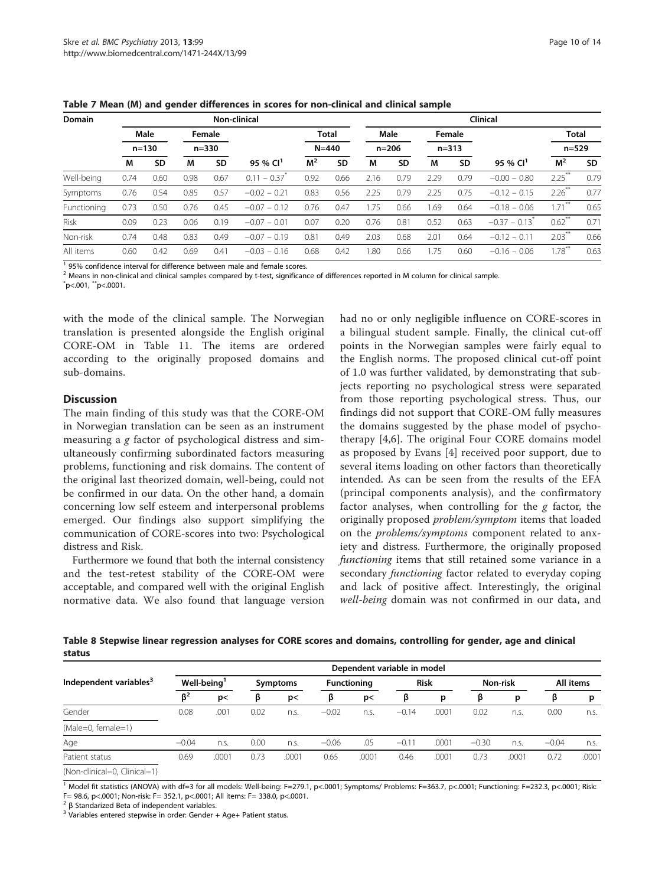| Page 10 of 14 |  |  |
|---------------|--|--|

| Domain      |      |           |      |           | Non-clinical   |                |              |      |           |      |           | Clinical             |                            |           |
|-------------|------|-----------|------|-----------|----------------|----------------|--------------|------|-----------|------|-----------|----------------------|----------------------------|-----------|
|             |      | Male      |      | Female    |                |                | <b>Total</b> |      | Male      |      | Female    |                      | <b>Total</b>               |           |
|             |      | $n = 130$ |      | $n = 330$ |                |                | $N = 440$    |      | $n = 206$ |      | $n = 313$ |                      | $n = 529$                  |           |
|             | M    | <b>SD</b> | M    | <b>SD</b> | 95 % $CI1$     | M <sup>2</sup> | <b>SD</b>    | М    | <b>SD</b> | M    | <b>SD</b> | 95 % Cl <sup>1</sup> | M <sup>2</sup>             | <b>SD</b> |
| Well-being  | 0.74 | 0.60      | 0.98 | 0.67      | $0.11 - 0.37$  | 0.92           | 0.66         | 2.16 | 0.79      | 2.29 | 0.79      | $-0.00 - 0.80$       | $2.25***$                  | 0.79      |
| Symptoms    | 0.76 | 0.54      | 0.85 | 0.57      | $-0.02 - 0.21$ | 0.83           | 0.56         | 2.25 | 0.79      | 2.25 | 0.75      | $-0.12 - 0.15$       | $***$<br>$2.26^{^{\circ}}$ | 0.77      |
| Functioning | 0.73 | 0.50      | 0.76 | 0.45      | $-0.07 - 0.12$ | 0.76           | 0.47         | .75  | 0.66      | 1.69 | 0.64      | $-0.18 - 0.06$       | $1.71***$                  | 0.65      |
| <b>Risk</b> | 0.09 | 0.23      | 0.06 | 0.19      | $-0.07 - 0.01$ | 0.07           | 0.20         | 0.76 | 0.81      | 0.52 | 0.63      | $-0.37 - 0.13$       | $0.62$ <sup>**</sup>       | 0.71      |
| Non-risk    | 0.74 | 0.48      | 0.83 | 0.49      | $-0.07 - 0.19$ | 0.81           | 0.49         | 2.03 | 0.68      | 2.01 | 0.64      | $-0.12 - 0.11$       | $2.03***$                  | 0.66      |
| All items   | 0.60 | 0.42      | 0.69 | 0.41      | $-0.03 - 0.16$ | 0.68           | 0.42         | .80  | 0.66      | 1.75 | 0.60      | $-0.16 - 0.06$       | $1.78***$                  | 0.63      |

<span id="page-9-0"></span>Table 7 Mean (M) and gender differences in scores for non-clinical and clinical sample

<sup>1</sup> 95% confidence interval for difference between male and female scores.

<sup>2</sup> Means in non-clinical and clinical samples compared by t-test, significance of differences reported in M column for clinical sample.

\* p<.001, \*\*p<.0001.

with the mode of the clinical sample. The Norwegian translation is presented alongside the English original CORE-OM in Table [11](#page-11-0). The items are ordered according to the originally proposed domains and sub-domains.

#### **Discussion**

The main finding of this study was that the CORE-OM in Norwegian translation can be seen as an instrument measuring a g factor of psychological distress and simultaneously confirming subordinated factors measuring problems, functioning and risk domains. The content of the original last theorized domain, well-being, could not be confirmed in our data. On the other hand, a domain concerning low self esteem and interpersonal problems emerged. Our findings also support simplifying the communication of CORE-scores into two: Psychological distress and Risk.

Furthermore we found that both the internal consistency and the test-retest stability of the CORE-OM were acceptable, and compared well with the original English normative data. We also found that language version

had no or only negligible influence on CORE-scores in a bilingual student sample. Finally, the clinical cut-off points in the Norwegian samples were fairly equal to the English norms. The proposed clinical cut-off point of 1.0 was further validated, by demonstrating that subjects reporting no psychological stress were separated from those reporting psychological stress. Thus, our findings did not support that CORE-OM fully measures the domains suggested by the phase model of psychotherapy [[4,6](#page-12-0)]. The original Four CORE domains model as proposed by Evans [[4\]](#page-12-0) received poor support, due to several items loading on other factors than theoretically intended. As can be seen from the results of the EFA (principal components analysis), and the confirmatory factor analyses, when controlling for the  $g$  factor, the originally proposed problem/symptom items that loaded on the problems/symptoms component related to anxiety and distress. Furthermore, the originally proposed functioning items that still retained some variance in a secondary *functioning* factor related to everyday coping and lack of positive affect. Interestingly, the original well-being domain was not confirmed in our data, and

|                                    |                         |       |                 |       |                    |       | Dependent variable in model |                   |          |       |           |       |
|------------------------------------|-------------------------|-------|-----------------|-------|--------------------|-------|-----------------------------|-------------------|----------|-------|-----------|-------|
| Independent variables <sup>3</sup> | Well-being <sup>1</sup> |       | <b>Symptoms</b> |       | <b>Functioning</b> |       | <b>Risk</b>                 |                   | Non-risk |       | All items |       |
|                                    | $\beta^2$               | p<    | β               | p<    | β                  | p<    | β                           | p                 | β        | p     | β         | р     |
| Gender                             | 0.08                    | .001  | 0.02            | n.s.  | $-0.02$            | n.S.  | $-0.14$                     | .0001             | 0.02     | n.s.  | 0.00      | n.s.  |
| (Male=0, female=1)                 |                         |       |                 |       |                    |       |                             |                   |          |       |           |       |
| Age                                | $-0.04$                 | n.s.  | 0.00            | n.s.  | $-0.06$            | .05   | $-0.11$                     | .0001             | $-0.30$  | n.s.  | $-0.04$   | n.s.  |
| Patient status                     | 0.69                    | .0001 | 0.73            | .0001 | 0.65               | .0001 | 0.46                        | .000 <sub>1</sub> | 0.73     | .0001 | 0.72      | .0001 |
| (Non-clinical=0, Clinical=1)       |                         |       |                 |       |                    |       |                             |                   |          |       |           |       |

Table 8 Stepwise linear regression analyses for CORE scores and domains, controlling for gender, age and clinical status

<sup>1</sup> Model fit statistics (ANOVA) with df=3 for all models: Well-being: F=279.1, p<.0001; Symptoms/ Problems: F=363.7, p<.0001; Functioning: F=232.3, p<.0001; Risk:

F= 98.6, p<.0001; Non-risk: F= 352.1, p<.0001; All items: F= 338.0, p<.0001  $^2$   $\beta$  Standarized Beta of independent variables.

 $3$  Variables entered stepwise in order: Gender + Age+ Patient status.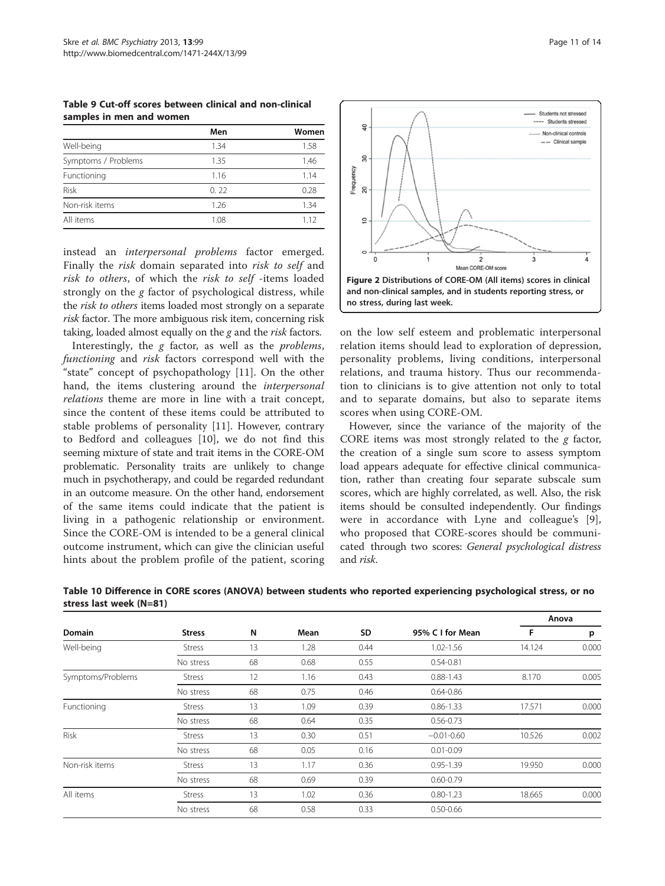| Men  | Women |
|------|-------|
| 1.34 | 1.58  |
| 1.35 | 1.46  |
| 1.16 | 1.14  |
| 0.22 | 0.28  |
| 1.26 | 1.34  |
| 1.08 | 112   |
|      |       |

<span id="page-10-0"></span>Table 9 Cut-off scores between clinical and non-clinical samples in men and women

instead an interpersonal problems factor emerged. Finally the *risk* domain separated into *risk to self* and risk to others, of which the risk to self -items loaded strongly on the  $g$  factor of psychological distress, while the *risk to others* items loaded most strongly on a separate risk factor. The more ambiguous risk item, concerning risk taking, loaded almost equally on the  $g$  and the *risk* factors.

Interestingly, the g factor, as well as the problems, functioning and risk factors correspond well with the "state" concept of psychopathology [[11](#page-13-0)]. On the other hand, the items clustering around the *interpersonal* relations theme are more in line with a trait concept, since the content of these items could be attributed to stable problems of personality [\[11](#page-13-0)]. However, contrary to Bedford and colleagues [[10\]](#page-13-0), we do not find this seeming mixture of state and trait items in the CORE-OM problematic. Personality traits are unlikely to change much in psychotherapy, and could be regarded redundant in an outcome measure. On the other hand, endorsement of the same items could indicate that the patient is living in a pathogenic relationship or environment. Since the CORE-OM is intended to be a general clinical outcome instrument, which can give the clinician useful hints about the problem profile of the patient, scoring



on the low self esteem and problematic interpersonal relation items should lead to exploration of depression, personality problems, living conditions, interpersonal relations, and trauma history. Thus our recommendation to clinicians is to give attention not only to total and to separate domains, but also to separate items scores when using CORE-OM.

However, since the variance of the majority of the CORE items was most strongly related to the  $g$  factor, the creation of a single sum score to assess symptom load appears adequate for effective clinical communication, rather than creating four separate subscale sum scores, which are highly correlated, as well. Also, the risk items should be consulted independently. Our findings were in accordance with Lyne and colleague's [\[9](#page-12-0)], who proposed that CORE-scores should be communicated through two scores: General psychological distress and risk.

|                   |               |    |      |      |                  | Anova  |       |
|-------------------|---------------|----|------|------|------------------|--------|-------|
| Domain            | <b>Stress</b> | N  | Mean | SD   | 95% C I for Mean | F      | p     |
| Well-being        | <b>Stress</b> | 13 | 1.28 | 0.44 | $1.02 - 1.56$    | 14.124 | 0.000 |
|                   | No stress     | 68 | 0.68 | 0.55 | $0.54 - 0.81$    |        |       |
| Symptoms/Problems | <b>Stress</b> | 12 | 1.16 | 0.43 | $0.88 - 1.43$    | 8.170  | 0.005 |
|                   | No stress     | 68 | 0.75 | 0.46 | $0.64 - 0.86$    |        |       |
| Functioning       | <b>Stress</b> | 13 | 1.09 | 0.39 | $0.86 - 1.33$    | 17.571 | 0.000 |
|                   | No stress     | 68 | 0.64 | 0.35 | $0.56 - 0.73$    |        |       |
| <b>Risk</b>       | Stress        | 13 | 0.30 | 0.51 | $-0.01 - 0.60$   | 10.526 | 0.002 |
|                   | No stress     | 68 | 0.05 | 0.16 | $0.01 - 0.09$    |        |       |
| Non-risk items    | <b>Stress</b> | 13 | 1.17 | 0.36 | $0.95 - 1.39$    | 19.950 | 0.000 |
|                   | No stress     | 68 | 0.69 | 0.39 | $0.60 - 0.79$    |        |       |
| All items         | <b>Stress</b> | 13 | 1.02 | 0.36 | $0.80 - 1.23$    | 18.665 | 0.000 |
|                   | No stress     | 68 | 0.58 | 0.33 | $0.50 - 0.66$    |        |       |

Table 10 Difference in CORE scores (ANOVA) between students who reported experiencing psychological stress, or no stress last week (N=81)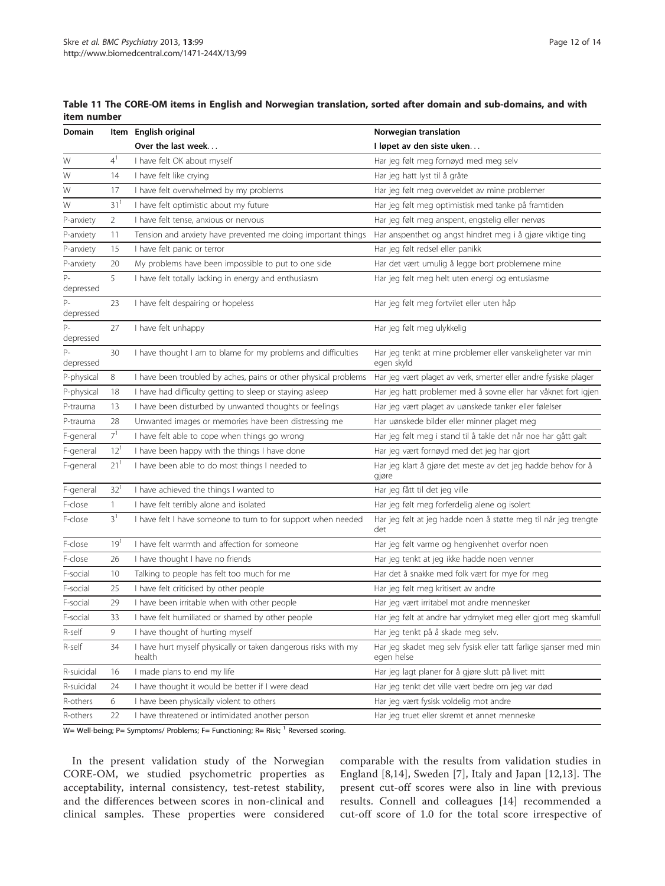<span id="page-11-0"></span>

| Table 11 The CORE-OM items in English and Norwegian translation, sorted after domain and sub-domains, and with |  |  |
|----------------------------------------------------------------------------------------------------------------|--|--|
| item number                                                                                                    |  |  |

| Domain          |                 | Item English original                                                    | Norwegian translation                                                           |
|-----------------|-----------------|--------------------------------------------------------------------------|---------------------------------------------------------------------------------|
|                 |                 | Over the last week                                                       | I løpet av den siste uken                                                       |
| W               | $4^1$           | I have felt OK about myself                                              | Har jeg følt meg fornøyd med meg selv                                           |
| W               | 14              | I have felt like crying                                                  | Har jeg hatt lyst til å gråte                                                   |
| W               | 17              | I have felt overwhelmed by my problems                                   | Har jeg følt meg overveldet av mine problemer                                   |
| W               | 31 <sup>1</sup> | I have felt optimistic about my future                                   | Har jeg følt meg optimistisk med tanke på framtiden                             |
| P-anxiety       | $\overline{2}$  | I have felt tense, anxious or nervous                                    | Har jeg følt meg anspent, engstelig eller nervøs                                |
| P-anxiety       | 11              | Tension and anxiety have prevented me doing important things             | Har anspenthet og angst hindret meg i å gjøre viktige ting                      |
| P-anxiety       | 15              | I have felt panic or terror                                              | Har jeg følt redsel eller panikk                                                |
| P-anxiety       | 20              | My problems have been impossible to put to one side                      | Har det vært umulig å legge bort problemene mine                                |
| Р-<br>depressed | 5               | I have felt totally lacking in energy and enthusiasm                     | Har jeg følt meg helt uten energi og entusiasme                                 |
| Р-<br>depressed | 23              | I have felt despairing or hopeless                                       | Har jeg følt meg fortvilet eller uten håp                                       |
| depressed       | 27              | I have felt unhappy                                                      | Har jeg følt meg ulykkelig                                                      |
| Р-<br>depressed | 30              | I have thought I am to blame for my problems and difficulties            | Har jeg tenkt at mine problemer eller vanskeligheter var min<br>egen skyld      |
| P-physical      | 8               | I have been troubled by aches, pains or other physical problems          | Har jeg vært plaget av verk, smerter eller andre fysiske plager                 |
| P-physical      | 18              | I have had difficulty getting to sleep or staying asleep                 | Har jeg hatt problemer med å sovne eller har våknet fort igjen                  |
| P-trauma        | 13              | I have been disturbed by unwanted thoughts or feelings                   | Har jeg vært plaget av uønskede tanker eller følelser                           |
| P-trauma        | 28              | Unwanted images or memories have been distressing me                     | Har uønskede bilder eller minner plaget meg                                     |
| F-general       | 7 <sup>1</sup>  | I have felt able to cope when things go wrong                            | Har jeg følt meg i stand til å takle det når noe har gått galt                  |
| F-general       | $12^{1}$        | I have been happy with the things I have done                            | Har jeg vært fornøyd med det jeg har gjort                                      |
| F-general       | 21 <sup>1</sup> | I have been able to do most things I needed to                           | Har jeg klart å gjøre det meste av det jeg hadde behov for å<br>gjøre           |
| F-general       | $32^{1}$        | I have achieved the things I wanted to                                   | Har jeg fått til det jeg ville                                                  |
| F-close         | 1               | I have felt terribly alone and isolated                                  | Har jeg følt meg forferdelig alene og isolert                                   |
| F-close         | 3 <sup>1</sup>  | I have felt I have someone to turn to for support when needed            | Har jeg følt at jeg hadde noen å støtte meg til når jeg trengte<br>det          |
| F-close         | 19 <sup>1</sup> | I have felt warmth and affection for someone                             | Har jeg følt varme og hengivenhet overfor noen                                  |
| F-close         | 26              | I have thought I have no friends                                         | Har jeg tenkt at jeg ikke hadde noen venner                                     |
| F-social        | 10              | Talking to people has felt too much for me                               | Har det å snakke med folk vært for mye for meg                                  |
| F-social        | 25              | I have felt criticised by other people                                   | Har jeg følt meg kritisert av andre                                             |
| F-social        | 29              | I have been irritable when with other people                             | Har jeg vært irritabel mot andre mennesker                                      |
| F-social        | 33              | I have felt humiliated or shamed by other people                         | Har jeg følt at andre har ydmyket meg eller gjort meg skamfull                  |
| R-self          | 9               | I have thought of hurting myself                                         | Har jeg tenkt på å skade meg selv.                                              |
| R-self          | 34              | I have hurt myself physically or taken dangerous risks with my<br>health | Har jeg skadet meg selv fysisk eller tatt farlige sjanser med min<br>egen helse |
| R-suicidal      | 16              | I made plans to end my life                                              | Har jeg lagt planer for å gjøre slutt på livet mitt                             |
| R-suicidal      | 24              | I have thought it would be better if I were dead                         | Har jeg tenkt det ville vært bedre om jeg var død                               |
| R-others        | 6               | I have been physically violent to others                                 | Har jeg vært fysisk voldelig mot andre                                          |
| R-others        | 22              | I have threatened or intimidated another person                          | Har jeg truet eller skremt et annet menneske                                    |

W= Well-being; P= Symptoms/ Problems; F= Functioning; R= Risk;  $^1$  Reversed scoring.

In the present validation study of the Norwegian CORE-OM, we studied psychometric properties as acceptability, internal consistency, test-retest stability, and the differences between scores in non-clinical and clinical samples. These properties were considered comparable with the results from validation studies in England [[8](#page-12-0)[,14](#page-13-0)], Sweden [[7\]](#page-12-0), Italy and Japan [\[12](#page-13-0),[13\]](#page-13-0). The present cut-off scores were also in line with previous results. Connell and colleagues [\[14](#page-13-0)] recommended a cut-off score of 1.0 for the total score irrespective of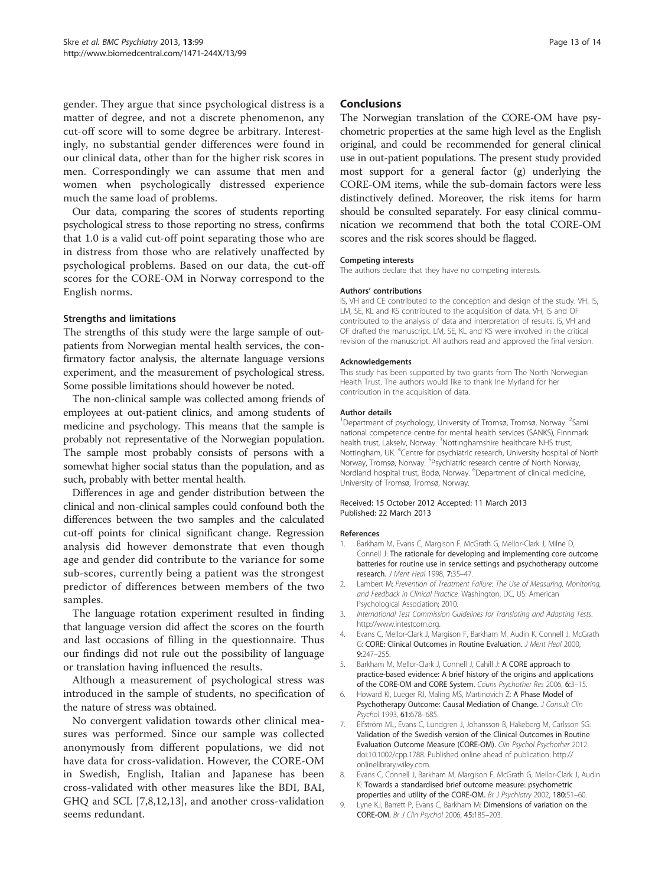<span id="page-12-0"></span>gender. They argue that since psychological distress is a matter of degree, and not a discrete phenomenon, any cut-off score will to some degree be arbitrary. Interestingly, no substantial gender differences were found in our clinical data, other than for the higher risk scores in men. Correspondingly we can assume that men and women when psychologically distressed experience much the same load of problems.

Our data, comparing the scores of students reporting psychological stress to those reporting no stress, confirms that 1.0 is a valid cut-off point separating those who are in distress from those who are relatively unaffected by psychological problems. Based on our data, the cut-off scores for the CORE-OM in Norway correspond to the English norms.

#### Strengths and limitations

The strengths of this study were the large sample of outpatients from Norwegian mental health services, the confirmatory factor analysis, the alternate language versions experiment, and the measurement of psychological stress. Some possible limitations should however be noted.

The non-clinical sample was collected among friends of employees at out-patient clinics, and among students of medicine and psychology. This means that the sample is probably not representative of the Norwegian population. The sample most probably consists of persons with a somewhat higher social status than the population, and as such, probably with better mental health.

Differences in age and gender distribution between the clinical and non-clinical samples could confound both the differences between the two samples and the calculated cut-off points for clinical significant change. Regression analysis did however demonstrate that even though age and gender did contribute to the variance for some sub-scores, currently being a patient was the strongest predictor of differences between members of the two samples.

The language rotation experiment resulted in finding that language version did affect the scores on the fourth and last occasions of filling in the questionnaire. Thus our findings did not rule out the possibility of language or translation having influenced the results.

Although a measurement of psychological stress was introduced in the sample of students, no specification of the nature of stress was obtained.

No convergent validation towards other clinical measures was performed. Since our sample was collected anonymously from different populations, we did not have data for cross-validation. However, the CORE-OM in Swedish, English, Italian and Japanese has been cross-validated with other measures like the BDI, BAI, GHQ and SCL [7,8,[12,13](#page-13-0)], and another cross-validation seems redundant.

# Conclusions

The Norwegian translation of the CORE-OM have psychometric properties at the same high level as the English original, and could be recommended for general clinical use in out-patient populations. The present study provided most support for a general factor (g) underlying the CORE-OM items, while the sub-domain factors were less distinctively defined. Moreover, the risk items for harm should be consulted separately. For easy clinical communication we recommend that both the total CORE-OM scores and the risk scores should be flagged.

#### Competing interests

The authors declare that they have no competing interests.

#### Authors' contributions

IS, VH and CE contributed to the conception and design of the study. VH, IS, LM, SE, KL and KS contributed to the acquisition of data. VH, IS and OF contributed to the analysis of data and interpretation of results. IS, VH and OF drafted the manuscript. LM, SE, KL and KS were involved in the critical revision of the manuscript. All authors read and approved the final version.

#### Acknowledgements

This study has been supported by two grants from The North Norwegian Health Trust. The authors would like to thank Ine Myrland for her contribution in the acquisition of data.

#### Author details

<sup>1</sup>Department of psychology, University of Tromsø, Tromsø, Norway. <sup>2</sup>Sami national competence centre for mental health services (SANKS), Finnmark health trust, Lakselv, Norway. <sup>3</sup>Nottinghamshire healthcare NHS trust Nottingham, UK.<sup>4</sup> Centre for psychiatric research, University hospital of North Norway, Tromsø, Norway. <sup>5</sup>Psychiatric research centre of North Norway Nordland hospital trust, Bodø, Norway. <sup>6</sup>Department of clinical medicine University of Tromsø, Tromsø, Norway.

#### Received: 15 October 2012 Accepted: 11 March 2013 Published: 22 March 2013

#### References

- 1. Barkham M, Evans C, Margison F, McGrath G, Mellor-Clark J, Milne D, Connell J: The rationale for developing and implementing core outcome batteries for routine use in service settings and psychotherapy outcome research. J Ment Heal 1998, 7:35–47.
- 2. Lambert M: Prevention of Treatment Failure: The Use of Measuring, Monitoring, and Feedback in Clinical Practice. Washington, DC, US: American Psychological Association; 2010.
- 3. International Test Commission Guidelines for Translating and Adapting Tests. [http://www.intestcom.org](http://www.intestcom.org/).
- 4. Evans C, Mellor-Clark J, Margison F, Barkham M, Audin K, Connell J, McGrath G: CORE: Clinical Outcomes in Routine Evaluation. J Ment Heal 2000, 9:247–255.
- 5. Barkham M, Mellor-Clark J, Connell J, Cahill J: A CORE approach to practice-based evidence: A brief history of the origins and applications of the CORE-OM and CORE System. Couns Psychother Res 2006, 6:3–15.
- 6. Howard KI, Lueger RJ, Maling MS, Martinovich Z: A Phase Model of Psychotherapy Outcome: Causal Mediation of Change. J Consult Clin Psychol 1993, 61:678–685.
- 7. Elfström ML, Evans C, Lundgren J, Johansson B, Hakeberg M, Carlsson SG: Validation of the Swedish version of the Clinical Outcomes in Routine Evaluation Outcome Measure (CORE-OM). Clin Psychol Psychother 2012. doi[:10.1002/cpp.1788.](http://dx.doi.org/10.1002/cpp.1788) Published online ahead of publication: [http://](http://onlinelibrary.wiley.com/) [onlinelibrary.wiley.com](http://onlinelibrary.wiley.com/).
- 8. Evans C, Connell J, Barkham M, Margison F, McGrath G, Mellor-Clark J, Audin K: Towards a standardised brief outcome measure: psychometric properties and utility of the CORE-OM. Br J Psychiatry 2002, 180:51-60.
- 9. Lyne KJ, Barrett P, Evans C, Barkham M: Dimensions of variation on the CORE-OM. Br J Clin Psychol 2006, 45:185–203.